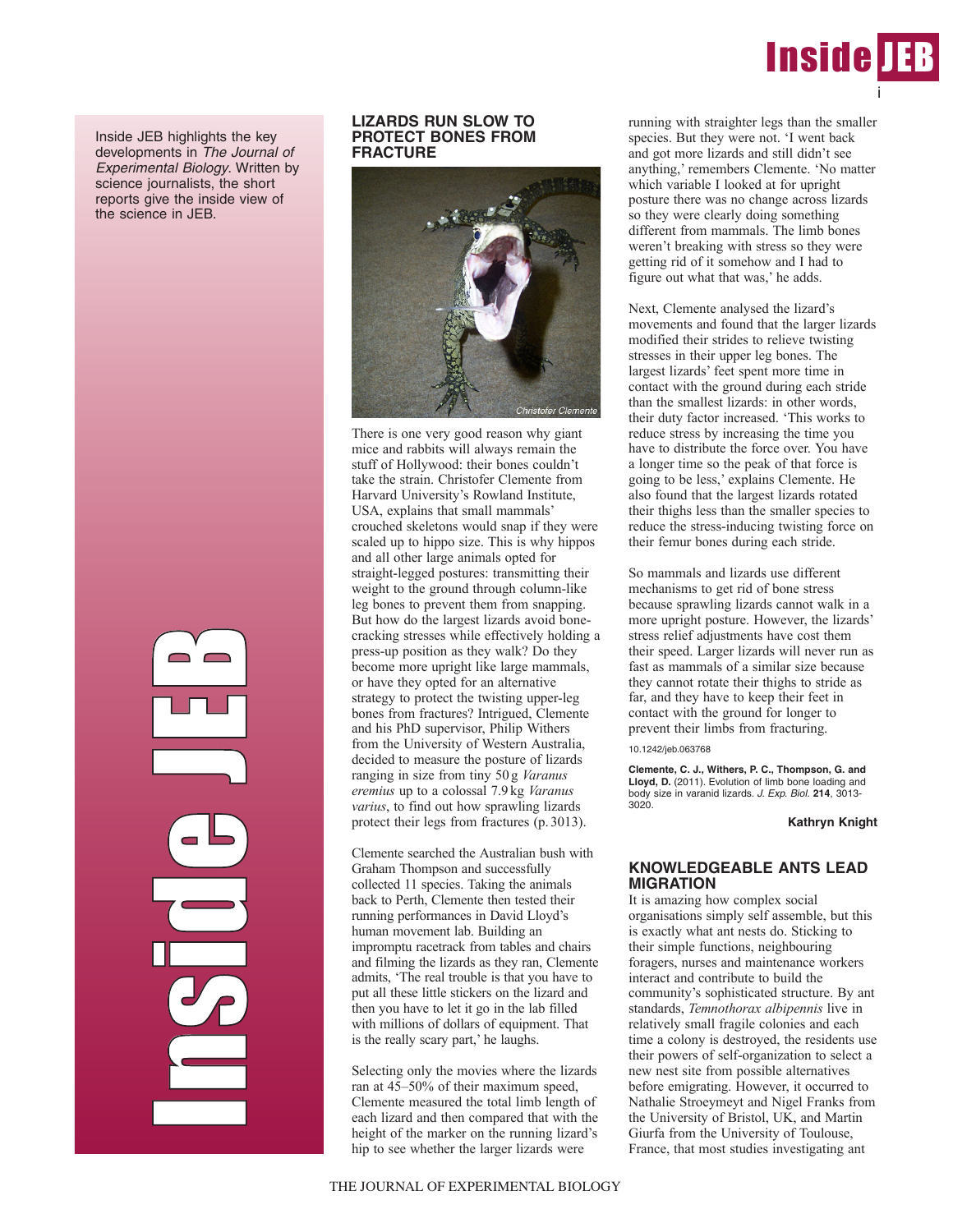

Inside JEB highlights the key developments in The Journal of Experimental Biology. Written by science journalists, the short reports give the inside view of the science in JEB.

> **Industrial n**  $\mathcal{C}_{\mathcal{P}}$ in 1999 and 1999 d<br>J e J EP)

### **LIZARDS RUN SLOW TO PROTECT BONES FROM FRACTURE**



There is one very good reason why giant mice and rabbits will always remain the stuff of Hollywood: their bones couldn't take the strain. Christofer Clemente from Harvard University's Rowland Institute, USA, explains that small mammals' crouched skeletons would snap if they were scaled up to hippo size. This is why hippos and all other large animals opted for straight-legged postures: transmitting their weight to the ground through column-like leg bones to prevent them from snapping. But how do the largest lizards avoid bonecracking stresses while effectively holding a press-up position as they walk? Do they become more upright like large mammals, or have they opted for an alternative strategy to protect the twisting upper-leg bones from fractures? Intrigued, Clemente and his PhD supervisor, Philip Withers from the University of Western Australia, decided to measure the posture of lizards ranging in size from tiny 50 g *Varanus eremius* up to a colossal 7.9 kg *Varanus varius*, to find out how sprawling lizards protect their legs from fractures (p. 3013).

Clemente searched the Australian bush with Graham Thompson and successfully collected 11 species. Taking the animals back to Perth, Clemente then tested their running performances in David Lloyd's human movement lab. Building an impromptu racetrack from tables and chairs and filming the lizards as they ran, Clemente admits, 'The real trouble is that you have to put all these little stickers on the lizard and then you have to let it go in the lab filled with millions of dollars of equipment. That is the really scary part,' he laughs.

Selecting only the movies where the lizards ran at 45–50% of their maximum speed, Clemente measured the total limb length of each lizard and then compared that with the height of the marker on the running lizard's hip to see whether the larger lizards were

running with straighter legs than the smaller species. But they were not. 'I went back and got more lizards and still didn't see anything,' remembers Clemente. 'No matter which variable I looked at for upright posture there was no change across lizards so they were clearly doing something different from mammals. The limb bones weren't breaking with stress so they were getting rid of it somehow and I had to figure out what that was,' he adds.

Next, Clemente analysed the lizard's movements and found that the larger lizards modified their strides to relieve twisting stresses in their upper leg bones. The largest lizards' feet spent more time in contact with the ground during each stride than the smallest lizards: in other words, their duty factor increased. 'This works to reduce stress by increasing the time you have to distribute the force over. You have a longer time so the peak of that force is going to be less,' explains Clemente. He also found that the largest lizards rotated their thighs less than the smaller species to reduce the stress-inducing twisting force on their femur bones during each stride.

So mammals and lizards use different mechanisms to get rid of bone stress because sprawling lizards cannot walk in a more upright posture. However, the lizards' stress relief adjustments have cost them their speed. Larger lizards will never run as fast as mammals of a similar size because they cannot rotate their thighs to stride as far, and they have to keep their feet in contact with the ground for longer to prevent their limbs from fracturing.

10.1242/jeb.063768

**Clemente, C. J., Withers, P. C., Thompson, G. and Lloyd, D.** (2011). Evolution of limb bone loading and body size in varanid lizards. J. Exp. Biol. **214**, 3013- 3020.

**Kathryn Knight**

# **KNOWLEDGEABLE ANTS LEAD MIGRATION**

It is amazing how complex social organisations simply self assemble, but this is exactly what ant nests do. Sticking to their simple functions, neighbouring foragers, nurses and maintenance workers interact and contribute to build the community's sophisticated structure. By ant standards, *Temnothorax albipennis* live in relatively small fragile colonies and each time a colony is destroyed, the residents use their powers of self-organization to select a new nest site from possible alternatives before emigrating. However, it occurred to Nathalie Stroeymeyt and Nigel Franks from the University of Bristol, UK, and Martin Giurfa from the University of Toulouse, France, that most studies investigating ant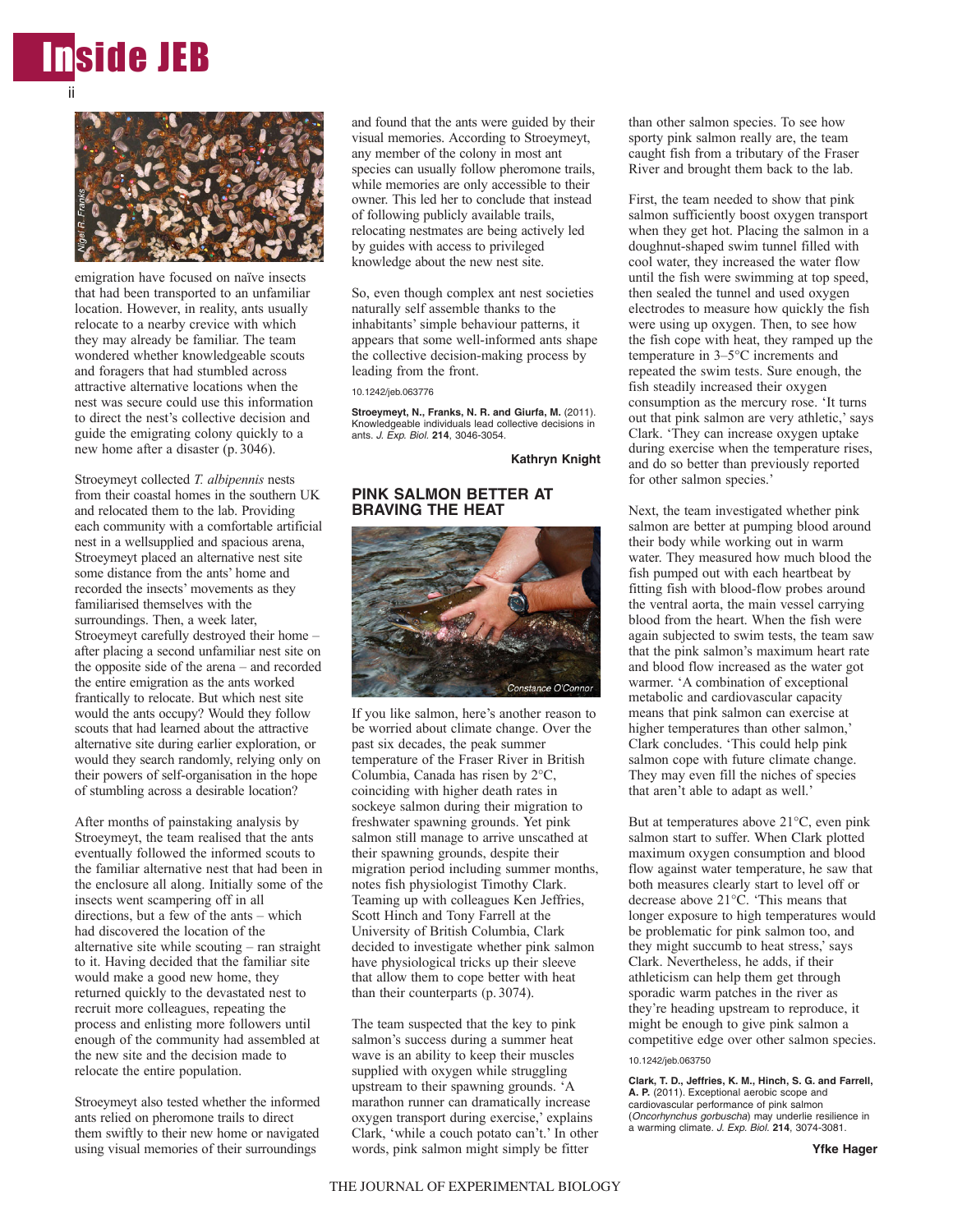



emigration have focused on naïve insects that had been transported to an unfamiliar location. However, in reality, ants usually relocate to a nearby crevice with which they may already be familiar. The team wondered whether knowledgeable scouts and foragers that had stumbled across attractive alternative locations when the nest was secure could use this information to direct the nest's collective decision and guide the emigrating colony quickly to a new home after a disaster (p. 3046).

Stroeymeyt collected *T. albipennis* nests from their coastal homes in the southern UK and relocated them to the lab. Providing each community with a comfortable artificial nest in a wellsupplied and spacious arena, Stroeymeyt placed an alternative nest site some distance from the ants' home and recorded the insects' movements as they familiarised themselves with the surroundings. Then, a week later, Stroeymeyt carefully destroyed their home – after placing a second unfamiliar nest site on the opposite side of the arena – and recorded the entire emigration as the ants worked frantically to relocate. But which nest site would the ants occupy? Would they follow scouts that had learned about the attractive alternative site during earlier exploration, or would they search randomly, relying only on their powers of self-organisation in the hope of stumbling across a desirable location?

After months of painstaking analysis by Stroeymeyt, the team realised that the ants eventually followed the informed scouts to the familiar alternative nest that had been in the enclosure all along. Initially some of the insects went scampering off in all directions, but a few of the ants – which had discovered the location of the alternative site while scouting – ran straight to it. Having decided that the familiar site would make a good new home, they returned quickly to the devastated nest to recruit more colleagues, repeating the process and enlisting more followers until enough of the community had assembled at the new site and the decision made to relocate the entire population.

Stroeymeyt also tested whether the informed ants relied on pheromone trails to direct them swiftly to their new home or navigated using visual memories of their surroundings

and found that the ants were guided by their visual memories. According to Stroeymeyt, any member of the colony in most ant species can usually follow pheromone trails, while memories are only accessible to their owner. This led her to conclude that instead of following publicly available trails, relocating nestmates are being actively led by guides with access to privileged knowledge about the new nest site.

So, even though complex ant nest societies naturally self assemble thanks to the inhabitants' simple behaviour patterns, it appears that some well-informed ants shape the collective decision-making process by leading from the front.

10.1242/jeb.063776

**Stroeymeyt, N., Franks, N. R. and Giurfa, M.** (2011). Knowledgeable individuals lead collective decisions in ants. J. Exp. Biol. **214**, 3046-3054.

**Kathryn Knight**

## **PINK SALMON BETTER AT BRAVING THE HEAT**



If you like salmon, here's another reason to be worried about climate change. Over the past six decades, the peak summer temperature of the Fraser River in British Columbia, Canada has risen by 2°C, coinciding with higher death rates in sockeye salmon during their migration to freshwater spawning grounds. Yet pink salmon still manage to arrive unscathed at their spawning grounds, despite their migration period including summer months, notes fish physiologist Timothy Clark. Teaming up with colleagues Ken Jeffries, Scott Hinch and Tony Farrell at the University of British Columbia, Clark decided to investigate whether pink salmon have physiological tricks up their sleeve that allow them to cope better with heat than their counterparts (p. 3074).

The team suspected that the key to pink salmon's success during a summer heat wave is an ability to keep their muscles supplied with oxygen while struggling upstream to their spawning grounds. 'A marathon runner can dramatically increase oxygen transport during exercise,' explains Clark, 'while a couch potato can't.' In other words, pink salmon might simply be fitter

than other salmon species. To see how sporty pink salmon really are, the team caught fish from a tributary of the Fraser River and brought them back to the lab.

First, the team needed to show that pink salmon sufficiently boost oxygen transport when they get hot. Placing the salmon in a doughnut-shaped swim tunnel filled with cool water, they increased the water flow until the fish were swimming at top speed, then sealed the tunnel and used oxygen electrodes to measure how quickly the fish were using up oxygen. Then, to see how the fish cope with heat, they ramped up the temperature in 3–5°C increments and repeated the swim tests. Sure enough, the fish steadily increased their oxygen consumption as the mercury rose. 'It turns out that pink salmon are very athletic,' says Clark. 'They can increase oxygen uptake during exercise when the temperature rises, and do so better than previously reported for other salmon species.'

Next, the team investigated whether pink salmon are better at pumping blood around their body while working out in warm water. They measured how much blood the fish pumped out with each heartbeat by fitting fish with blood-flow probes around the ventral aorta, the main vessel carrying blood from the heart. When the fish were again subjected to swim tests, the team saw that the pink salmon's maximum heart rate and blood flow increased as the water got warmer. 'A combination of exceptional metabolic and cardiovascular capacity means that pink salmon can exercise at higher temperatures than other salmon,' Clark concludes. 'This could help pink salmon cope with future climate change. They may even fill the niches of species that aren't able to adapt as well.'

But at temperatures above 21°C, even pink salmon start to suffer. When Clark plotted maximum oxygen consumption and blood flow against water temperature, he saw that both measures clearly start to level off or decrease above 21°C. 'This means that longer exposure to high temperatures would be problematic for pink salmon too, and they might succumb to heat stress,' says Clark. Nevertheless, he adds, if their athleticism can help them get through sporadic warm patches in the river as they're heading upstream to reproduce, it might be enough to give pink salmon a competitive edge over other salmon species.

### 10.1242/jeb.063750

**Clark, T. D., Jeffries, K. M., Hinch, S. G. and Farrell, A. P.** (2011). Exceptional aerobic scope and cardiovascular performance of pink salmon (Oncorhynchus gorbuscha) may underlie resilience in a warming climate. J. Exp. Biol. **214**, 3074-3081.